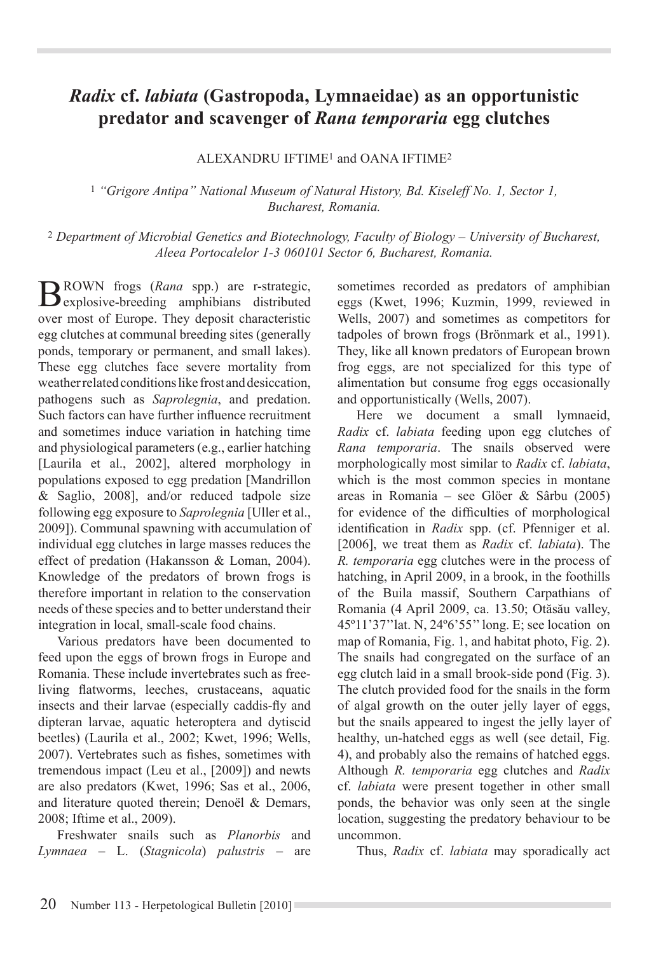## *Radix* **cf.** *labiata* **(Gastropoda, Lymnaeidae) as an opportunistic predator and scavenger of** *Rana temporaria* **egg clutches**

ALEXANDRU IFTIME1 and OANA IFTIME2

<sup>1</sup> *"Grigore Antipa" National Museum of Natural History, Bd. Kiseleff No. 1, Sector 1, Bucharest, Romania.* 

<sup>2</sup> *Department of Microbial Genetics and Biotechnology, Faculty of Biology – University of Bucharest, Aleea Portocalelor 1-3 060101 Sector 6, Bucharest, Romania.* 

BROWN frogs (Rana spp.) are r-strategic, explosive-breeding amphibians distributed over most of Europe. They deposit characteristic egg clutches at communal breeding sites (generally ponds, temporary or permanent, and small lakes). These egg clutches face severe mortality from weather related conditions like frost and desiccation, pathogens such as *Saprolegnia*, and predation. Such factors can have further influence recruitment and sometimes induce variation in hatching time and physiological parameters (e.g., earlier hatching [Laurila et al., 2002], altered morphology in populations exposed to egg predation [Mandrillon & Saglio, 2008], and/or reduced tadpole size following egg exposure to Saprolegnia [Uller et al., 2009]). Communal spawning with accumulation of individual egg clutches in large masses reduces the effect of predation (Hakansson & Loman, 2004). Knowledge of the predators of brown frogs is therefore important in relation to the conservation needs of these species and to better understand their integration in local, small-scale food chains.

Various predators have been documented to feed upon the eggs of brown frogs in Europe and Romania. These include invertebrates such as freeliving flatworms, leeches, crustaceans, aquatic insects and their larvae (especially caddis-fly and dipteran larvae, aquatic heteroptera and dytiscid beetles) (Laurila et al., 2002; Kwet, 1996; Wells, 2007). Vertebrates such as fishes, sometimes with tremendous impact (Leu et al., [2009]) and newts are also predators (Kwet, 1996; Sas et al., 2006, and literature quoted therein: Denoël  $&$  Demars. 2008: Iftime et al., 2009).

Freshwater snails such as *Planorbis* and *Lymnaea* – L. (*Stagnicola*) *palustris* – are sometimes recorded as predators of amphibian eggs (Kwet, 1996; Kuzmin, 1999, reviewed in Wells, 2007) and sometimes as competitors for tadpoles of brown frogs (Brönmark et al., 1991). They, like all known predators of European brown frog eggs, are not specialized for this type of alimentation but consume frog eggs occasionally and opportunistically (Wells, 2007).

Here we document a small lymnaeid, *Radix* cf. *labiata* feeding upon egg clutches of *Rana temporaria*. The snails observed were morphologically most similar to *Radix* cf. *labiata*, which is the most common species in montane areas in Romania – see Glöer & Sârbu  $(2005)$ for evidence of the difficulties of morphological identification in Radix spp. (cf. Pfenniger et al. [2006], we treat them as *Radix* cf. *labiata*). The *R. temporaria* egg clutches were in the process of hatching, in April 2009, in a brook, in the foothills of the Buila massif, Southern Carpathians of Romania (4 April 2009, ca. 13.50; Otăsău valley,  $45^{\circ}11'37''$ lat. N,  $24^{\circ}6'55''$ long. E; see location on map of Romania, Fig. 1, and habitat photo, Fig. 2). The snails had congregated on the surface of an egg clutch laid in a small brook-side pond (Fig. 3). The clutch provided food for the snails in the form of algal growth on the outer jelly layer of eggs. but the snails appeared to ingest the jelly layer of healthy, un-hatched eggs as well (see detail, Fig. 4), and probably also the remains of hatched eggs. Although *R. temporaria* egg clutches and *Radix*  FI *labiata* were present together in other small ponds, the behavior was only seen at the single location, suggesting the predatory behaviour to be uncommon.

Thus, *Radix* cf. *labiata* may sporadically act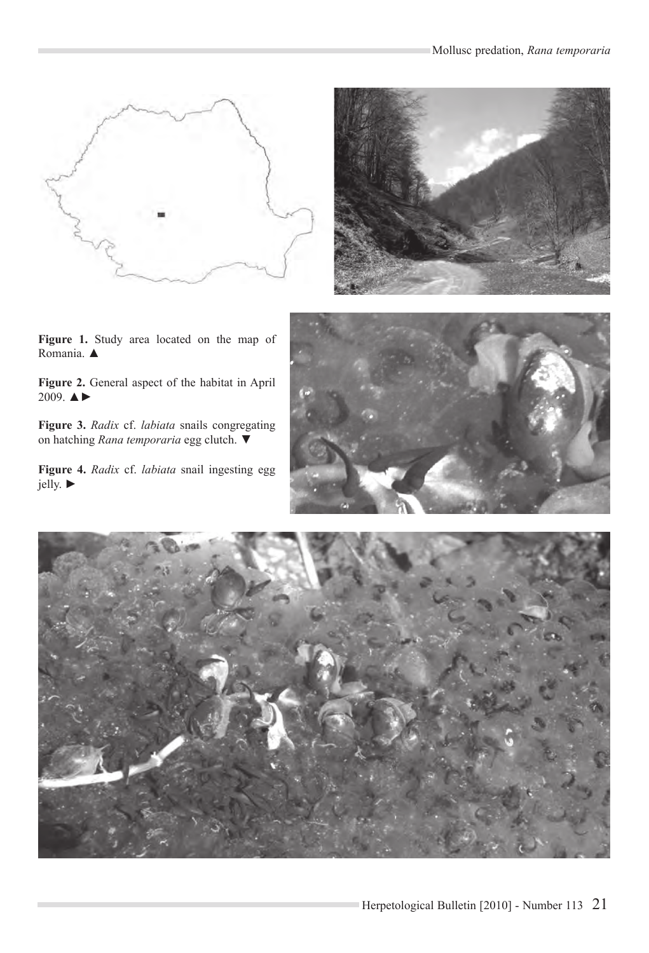



Figure 1. Study area located on the map of Romania. ▲

Figure 2. General aspect of the habitat in April 2009.  $\triangle$ 

Figure 3. Radix cf. labiata snails congregating on hatching Rana temporaria egg clutch.  $\blacktriangledown$ 

Figure 4. Radix cf. labiata snail ingesting egg jelly.  $\blacktriangleright$